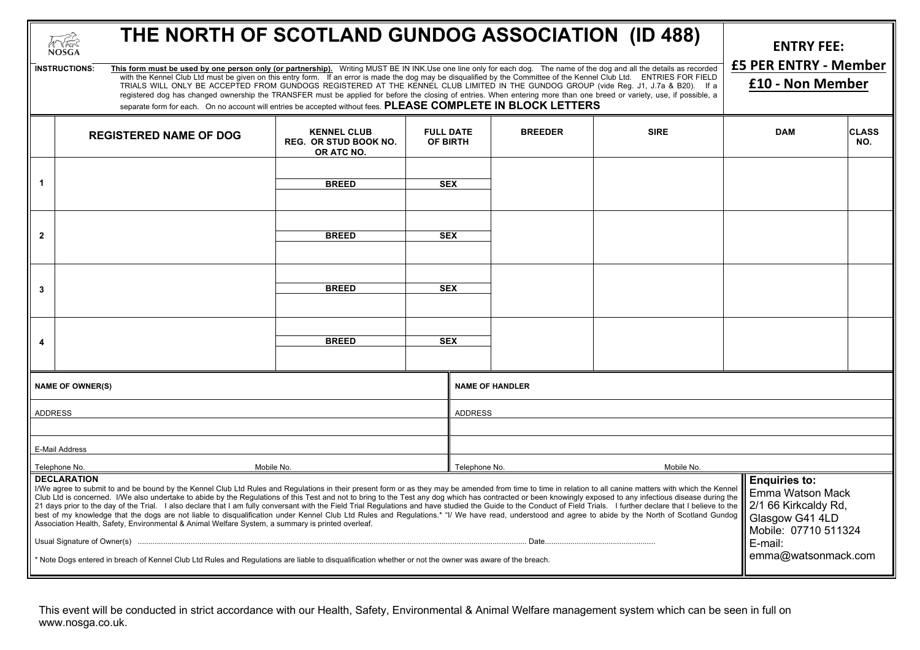| THE NORTH OF SCOTLAND GUNDOG ASSOCIATION (ID 488)<br>THE<br><b>NOSGA</b>                                                                                                                                                                                                                                                                                                                                                                                                                                                                                                                                                                                                                                                                                                                                                                                                                                                                                                              |                                                                                                                                                                                |                                                                  |                              |                             |                |                                                                                                             | <b>ENTRY FEE:</b> |                     |  |
|---------------------------------------------------------------------------------------------------------------------------------------------------------------------------------------------------------------------------------------------------------------------------------------------------------------------------------------------------------------------------------------------------------------------------------------------------------------------------------------------------------------------------------------------------------------------------------------------------------------------------------------------------------------------------------------------------------------------------------------------------------------------------------------------------------------------------------------------------------------------------------------------------------------------------------------------------------------------------------------|--------------------------------------------------------------------------------------------------------------------------------------------------------------------------------|------------------------------------------------------------------|------------------------------|-----------------------------|----------------|-------------------------------------------------------------------------------------------------------------|-------------------|---------------------|--|
| This form must be used by one person only (or partnership). Writing MUST BE IN INK.Use one line only for each dog. The name of the dog and all the details as recorded<br><b>INSTRUCTIONS:</b><br>with the Kennel Club Ltd must be given on this entry form. If an error is made the dog may be disqualified by the Committee of the Kennel Club Ltd. ENTRIES FOR FIELD<br>TRIALS WILL ONLY BE ACCEPTED FROM GUNDOGS REGISTERED AT THE KENNEL CLUB LIMITED IN THE GUNDOG GROUP (vide Reg. J1, J.7a & B20). If a<br>registered dog has changed ownership the TRANSFER must be applied for before the closing of entries. When entering more than one breed or variety, use, if possible, a<br>separate form for each. On no account will entries be accepted without fees. PLEASE COMPLETE IN BLOCK LETTERS                                                                                                                                                                            |                                                                                                                                                                                |                                                                  |                              |                             |                | <b>£5 PER ENTRY - Member</b><br>£10 - Non Member                                                            |                   |                     |  |
|                                                                                                                                                                                                                                                                                                                                                                                                                                                                                                                                                                                                                                                                                                                                                                                                                                                                                                                                                                                       | <b>REGISTERED NAME OF DOG</b>                                                                                                                                                  | <b>KENNEL CLUB</b><br><b>REG. OR STUD BOOK NO.</b><br>OR ATC NO. | <b>FULL DATE</b><br>OF BIRTH |                             | <b>BREEDER</b> | <b>SIRE</b>                                                                                                 | <b>DAM</b>        | <b>CLASS</b><br>NO. |  |
| -1                                                                                                                                                                                                                                                                                                                                                                                                                                                                                                                                                                                                                                                                                                                                                                                                                                                                                                                                                                                    |                                                                                                                                                                                | <b>BREED</b>                                                     | <b>SEX</b>                   |                             |                |                                                                                                             |                   |                     |  |
| $\overline{2}$                                                                                                                                                                                                                                                                                                                                                                                                                                                                                                                                                                                                                                                                                                                                                                                                                                                                                                                                                                        |                                                                                                                                                                                | <b>BREED</b>                                                     | <b>SEX</b>                   |                             |                |                                                                                                             |                   |                     |  |
| 3                                                                                                                                                                                                                                                                                                                                                                                                                                                                                                                                                                                                                                                                                                                                                                                                                                                                                                                                                                                     | <b>BREED</b><br><b>SEX</b>                                                                                                                                                     |                                                                  |                              |                             |                |                                                                                                             |                   |                     |  |
| 4                                                                                                                                                                                                                                                                                                                                                                                                                                                                                                                                                                                                                                                                                                                                                                                                                                                                                                                                                                                     |                                                                                                                                                                                | <b>BREED</b>                                                     | <b>SEX</b>                   |                             |                |                                                                                                             |                   |                     |  |
| <b>NAME OF OWNER(S)</b>                                                                                                                                                                                                                                                                                                                                                                                                                                                                                                                                                                                                                                                                                                                                                                                                                                                                                                                                                               |                                                                                                                                                                                |                                                                  |                              | <b>NAME OF HANDLER</b>      |                |                                                                                                             |                   |                     |  |
| <b>ADDRESS</b>                                                                                                                                                                                                                                                                                                                                                                                                                                                                                                                                                                                                                                                                                                                                                                                                                                                                                                                                                                        |                                                                                                                                                                                |                                                                  |                              | <b>ADDRESS</b>              |                |                                                                                                             |                   |                     |  |
| E-Mail Address                                                                                                                                                                                                                                                                                                                                                                                                                                                                                                                                                                                                                                                                                                                                                                                                                                                                                                                                                                        |                                                                                                                                                                                |                                                                  |                              |                             |                |                                                                                                             |                   |                     |  |
| Telephone No.<br>Mobile No.                                                                                                                                                                                                                                                                                                                                                                                                                                                                                                                                                                                                                                                                                                                                                                                                                                                                                                                                                           |                                                                                                                                                                                |                                                                  |                              | Telephone No.<br>Mobile No. |                |                                                                                                             |                   |                     |  |
| <b>DECLARATION</b><br>I/We agree to submit to and be bound by the Kennel Club Ltd Rules and Regulations in their present form or as they may be amended from time to time in relation to all canine matters with which the Kennel<br>Club Ltd is concerned. I/We also undertake to abide by the Regulations of this Test and not to bring to the Test any dog which has contracted or been knowingly exposed to any infectious disease during the<br>21 days prior to the day of the Trial. I also declare that I am fully conversant with the Field Trial Regulations and have studied the Guide to the Conduct of Field Trials. I further declare that I believe to the<br>best of my knowledge that the dogs are not liable to disqualification under Kennel Club Ltd Rules and Regulations.* "I/ We have read, understood and agree to abide by the North of Scotland Gundog<br>Association Health, Safety, Environmental & Animal Welfare System, a summary is printed overleaf. |                                                                                                                                                                                |                                                                  |                              |                             |                | <b>Enquiries to:</b><br>Emma Watson Mack<br>2/1 66 Kirkcaldy Rd,<br>Glasgow G41 4LD<br>Mobile: 07710 511324 |                   |                     |  |
|                                                                                                                                                                                                                                                                                                                                                                                                                                                                                                                                                                                                                                                                                                                                                                                                                                                                                                                                                                                       |                                                                                                                                                                                |                                                                  |                              |                             |                | E-mail:                                                                                                     |                   |                     |  |
|                                                                                                                                                                                                                                                                                                                                                                                                                                                                                                                                                                                                                                                                                                                                                                                                                                                                                                                                                                                       | emma@watsonmack.com<br>* Note Dogs entered in breach of Kennel Club Ltd Rules and Regulations are liable to disqualification whether or not the owner was aware of the breach. |                                                                  |                              |                             |                |                                                                                                             |                   |                     |  |

This event will be conducted in strict accordance with our Health, Safety, Environmental & Animal Welfare management system which can be seen in full on www.nosga.co.uk.